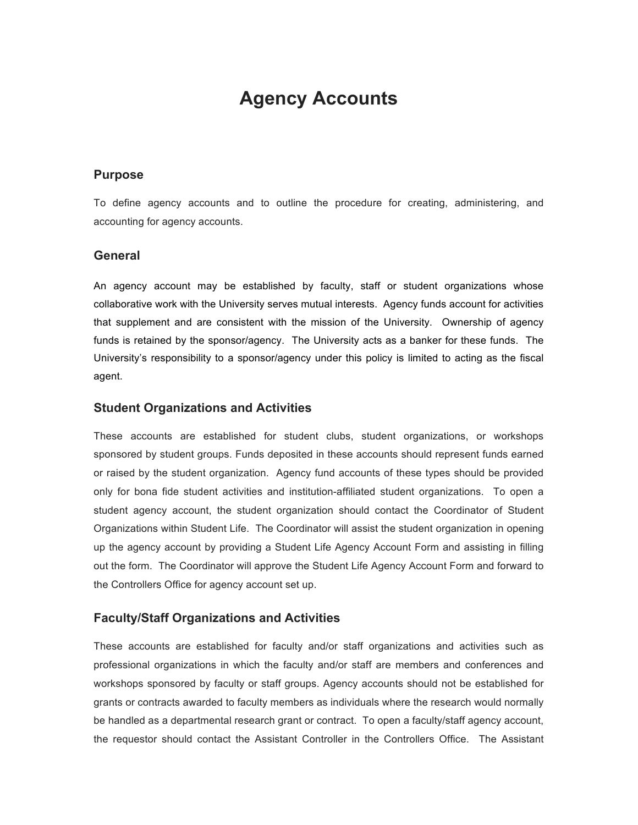# **Agency Accounts**

#### **Purpose**

To define agency accounts and to outline the procedure for creating, administering, and accounting for agency accounts.

#### **General**

An agency account may be established by faculty, staff or student organizations whose collaborative work with the University serves mutual interests. Agency funds account for activities that supplement and are consistent with the mission of the University. Ownership of agency funds is retained by the sponsor/agency. The University acts as a banker for these funds. The University's responsibility to a sponsor/agency under this policy is limited to acting as the fiscal agent.

#### **Student Organizations and Activities**

These accounts are established for student clubs, student organizations, or workshops sponsored by student groups. Funds deposited in these accounts should represent funds earned or raised by the student organization. Agency fund accounts of these types should be provided only for bona fide student activities and institution-affiliated student organizations. To open a student agency account, the student organization should contact the Coordinator of Student Organizations within Student Life. The Coordinator will assist the student organization in opening up the agency account by providing a Student Life Agency Account Form and assisting in filling out the form. The Coordinator will approve the Student Life Agency Account Form and forward to the Controllers Office for agency account set up.

#### **Faculty/Staff Organizations and Activities**

These accounts are established for faculty and/or staff organizations and activities such as professional organizations in which the faculty and/or staff are members and conferences and workshops sponsored by faculty or staff groups. Agency accounts should not be established for grants or contracts awarded to faculty members as individuals where the research would normally be handled as a departmental research grant or contract. To open a faculty/staff agency account, the requestor should contact the Assistant Controller in the Controllers Office. The Assistant